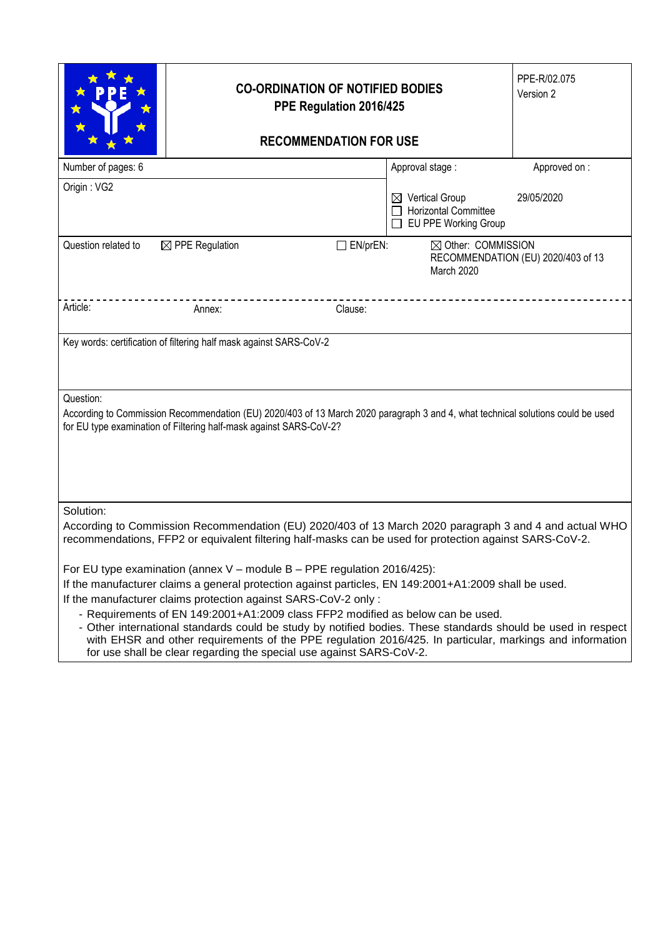|                                                                                                                                                                                                                                | <b>CO-ORDINATION OF NOTIFIED BODIES</b><br>PPE Regulation 2016/425                                                                                                                                                                                                                                                                                                                                                                                                                                                                                                                                                                           |                 | PPE-R/02.075<br>Version 2                                                         |                                    |  |  |
|--------------------------------------------------------------------------------------------------------------------------------------------------------------------------------------------------------------------------------|----------------------------------------------------------------------------------------------------------------------------------------------------------------------------------------------------------------------------------------------------------------------------------------------------------------------------------------------------------------------------------------------------------------------------------------------------------------------------------------------------------------------------------------------------------------------------------------------------------------------------------------------|-----------------|-----------------------------------------------------------------------------------|------------------------------------|--|--|
|                                                                                                                                                                                                                                |                                                                                                                                                                                                                                                                                                                                                                                                                                                                                                                                                                                                                                              |                 |                                                                                   |                                    |  |  |
| Number of pages: 6                                                                                                                                                                                                             |                                                                                                                                                                                                                                                                                                                                                                                                                                                                                                                                                                                                                                              |                 | Approval stage:                                                                   | Approved on:                       |  |  |
| Origin: VG2                                                                                                                                                                                                                    |                                                                                                                                                                                                                                                                                                                                                                                                                                                                                                                                                                                                                                              |                 | $\boxtimes$ Vertical Group<br><b>Horizontal Committee</b><br>EU PPE Working Group | 29/05/2020                         |  |  |
| Question related to                                                                                                                                                                                                            | $\boxtimes$ PPE Regulation                                                                                                                                                                                                                                                                                                                                                                                                                                                                                                                                                                                                                   | $\Box$ EN/prEN: | $\boxtimes$ Other: COMMISSION<br>March 2020                                       | RECOMMENDATION (EU) 2020/403 of 13 |  |  |
| Article:                                                                                                                                                                                                                       | Annex:                                                                                                                                                                                                                                                                                                                                                                                                                                                                                                                                                                                                                                       | Clause:         |                                                                                   |                                    |  |  |
| Key words: certification of filtering half mask against SARS-CoV-2                                                                                                                                                             |                                                                                                                                                                                                                                                                                                                                                                                                                                                                                                                                                                                                                                              |                 |                                                                                   |                                    |  |  |
| Question:<br>According to Commission Recommendation (EU) 2020/403 of 13 March 2020 paragraph 3 and 4, what technical solutions could be used<br>for EU type examination of Filtering half-mask against SARS-CoV-2?             |                                                                                                                                                                                                                                                                                                                                                                                                                                                                                                                                                                                                                                              |                 |                                                                                   |                                    |  |  |
| Solution:<br>According to Commission Recommendation (EU) 2020/403 of 13 March 2020 paragraph 3 and 4 and actual WHO<br>recommendations, FFP2 or equivalent filtering half-masks can be used for protection against SARS-CoV-2. |                                                                                                                                                                                                                                                                                                                                                                                                                                                                                                                                                                                                                                              |                 |                                                                                   |                                    |  |  |
|                                                                                                                                                                                                                                | For EU type examination (annex $V$ – module B – PPE regulation 2016/425):<br>If the manufacturer claims a general protection against particles, EN 149:2001+A1:2009 shall be used.<br>If the manufacturer claims protection against SARS-CoV-2 only :<br>- Requirements of EN 149:2001+A1:2009 class FFP2 modified as below can be used.<br>- Other international standards could be study by notified bodies. These standards should be used in respect<br>with EHSR and other requirements of the PPE regulation 2016/425. In particular, markings and information<br>for use shall be clear regarding the special use against SARS-CoV-2. |                 |                                                                                   |                                    |  |  |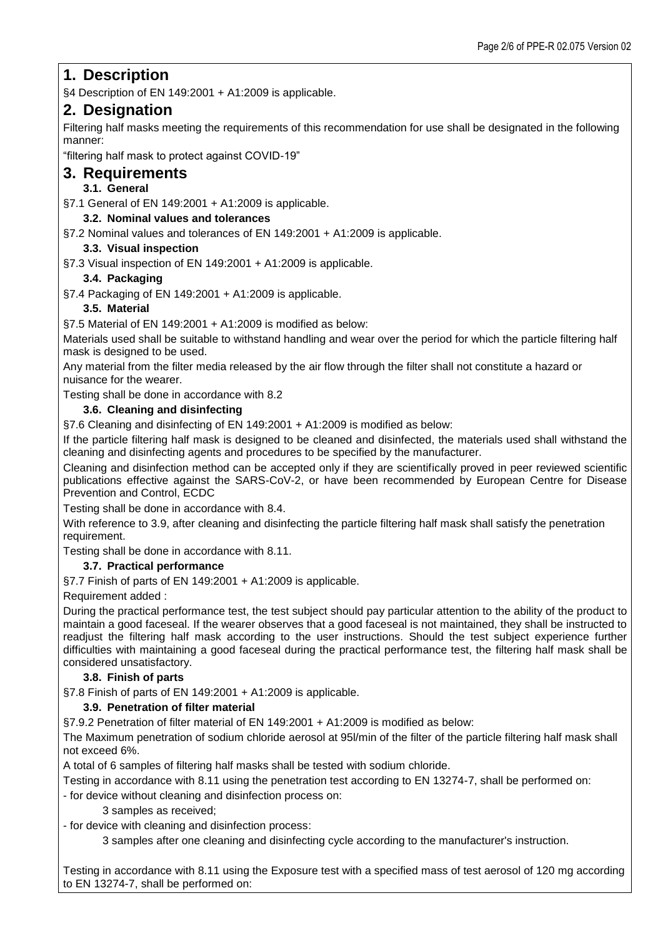# **1. Description**

§4 Description of EN 149:2001 + A1:2009 is applicable.

# **2. Designation**

Filtering half masks meeting the requirements of this recommendation for use shall be designated in the following manner:

"filtering half mask to protect against COVID-19"

# **3. Requirements**

**3.1. General**

§7.1 General of EN 149:2001 + A1:2009 is applicable.

### **3.2. Nominal values and tolerances**

§7.2 Nominal values and tolerances of EN 149:2001 + A1:2009 is applicable.

### **3.3. Visual inspection**

§7.3 Visual inspection of EN 149:2001 + A1:2009 is applicable.

## **3.4. Packaging**

§7.4 Packaging of EN 149:2001 + A1:2009 is applicable.

## **3.5. Material**

§7.5 Material of EN 149:2001 + A1:2009 is modified as below:

Materials used shall be suitable to withstand handling and wear over the period for which the particle filtering half mask is designed to be used.

Any material from the filter media released by the air flow through the filter shall not constitute a hazard or nuisance for the wearer.

Testing shall be done in accordance with 8.2

## **3.6. Cleaning and disinfecting**

§7.6 Cleaning and disinfecting of EN 149:2001 + A1:2009 is modified as below:

If the particle filtering half mask is designed to be cleaned and disinfected, the materials used shall withstand the cleaning and disinfecting agents and procedures to be specified by the manufacturer.

Cleaning and disinfection method can be accepted only if they are scientifically proved in peer reviewed scientific publications effective against the SARS-CoV-2, or have been recommended by European Centre for Disease Prevention and Control, ECDC

Testing shall be done in accordance with 8.4.

With reference to 3.9, after cleaning and disinfecting the particle filtering half mask shall satisfy the penetration requirement.

Testing shall be done in accordance with 8.11.

## **3.7. Practical performance**

§7.7 Finish of parts of EN 149:2001 + A1:2009 is applicable.

Requirement added :

During the practical performance test, the test subject should pay particular attention to the ability of the product to maintain a good faceseal. If the wearer observes that a good faceseal is not maintained, they shall be instructed to readjust the filtering half mask according to the user instructions. Should the test subject experience further difficulties with maintaining a good faceseal during the practical performance test, the filtering half mask shall be considered unsatisfactory.

## **3.8. Finish of parts**

§7.8 Finish of parts of EN 149:2001 + A1:2009 is applicable.

### **3.9. Penetration of filter material**

§7.9.2 Penetration of filter material of EN 149:2001 + A1:2009 is modified as below:

The Maximum penetration of sodium chloride aerosol at 95l/min of the filter of the particle filtering half mask shall not exceed 6%.

A total of 6 samples of filtering half masks shall be tested with sodium chloride.

Testing in accordance with 8.11 using the penetration test according to EN 13274-7, shall be performed on:

- for device without cleaning and disinfection process on:

#### 3 samples as received;

- for device with cleaning and disinfection process:

3 samples after one cleaning and disinfecting cycle according to the manufacturer's instruction.

Testing in accordance with 8.11 using the Exposure test with a specified mass of test aerosol of 120 mg according to EN 13274-7, shall be performed on: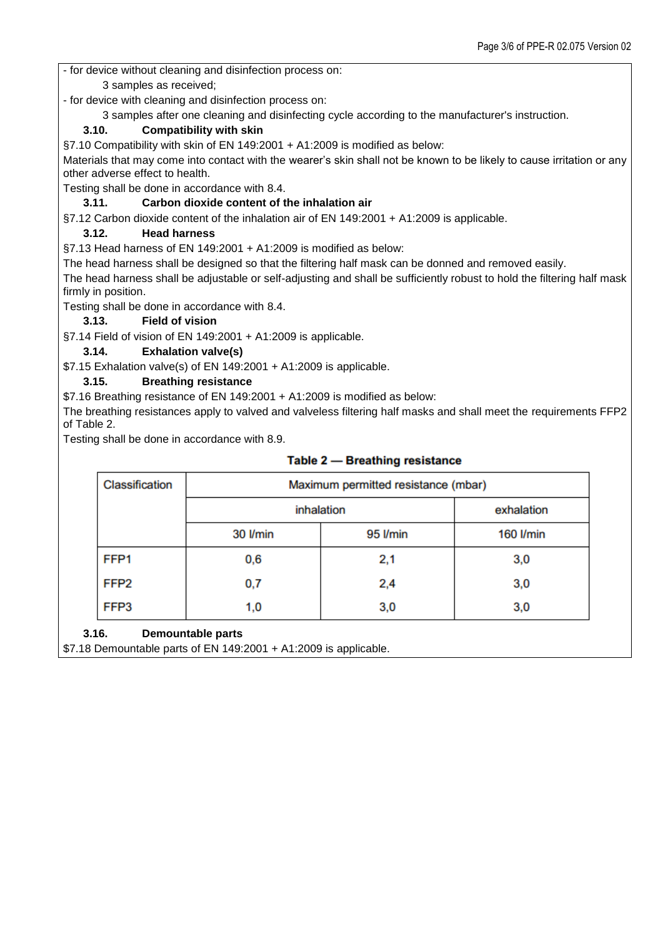- for device without cleaning and disinfection process on:

3 samples as received;

- for device with cleaning and disinfection process on:

3 samples after one cleaning and disinfecting cycle according to the manufacturer's instruction.

## **3.10. Compatibility with skin**

§7.10 Compatibility with skin of EN 149:2001 + A1:2009 is modified as below:

Materials that may come into contact with the wearer's skin shall not be known to be likely to cause irritation or any other adverse effect to health.

Testing shall be done in accordance with 8.4.

### **3.11. Carbon dioxide content of the inhalation air**

§7.12 Carbon dioxide content of the inhalation air of EN 149:2001 + A1:2009 is applicable.

## **3.12. Head harness**

§7.13 Head harness of EN 149:2001 + A1:2009 is modified as below:

The head harness shall be designed so that the filtering half mask can be donned and removed easily.

The head harness shall be adjustable or self-adjusting and shall be sufficiently robust to hold the filtering half mask firmly in position.

Testing shall be done in accordance with 8.4.

### **3.13. Field of vision**

§7.14 Field of vision of EN 149:2001 + A1:2009 is applicable.

## **3.14. Exhalation valve(s)**

\$7.15 Exhalation valve(s) of EN 149:2001 + A1:2009 is applicable.

## **3.15. Breathing resistance**

\$7.16 Breathing resistance of EN 149:2001 + A1:2009 is modified as below:

The breathing resistances apply to valved and valveless filtering half masks and shall meet the requirements FFP2 of Table 2.

Testing shall be done in accordance with 8.9.

| Classification   | Maximum permitted resistance (mbar) |          |            |  |
|------------------|-------------------------------------|----------|------------|--|
|                  | inhalation                          |          | exhalation |  |
|                  | 30 I/min                            | 95 I/min | 160 I/min  |  |
| FFP <sub>1</sub> | 0,6                                 | 2,1      | 3,0        |  |
| FFP <sub>2</sub> | 0,7                                 | 2,4      | 3,0        |  |
| FFP3             | 1,0                                 | 3,0      | 3,0        |  |

## Table 2 - Breathing resistance

**3.16. Demountable parts**

\$7.18 Demountable parts of EN 149:2001 + A1:2009 is applicable.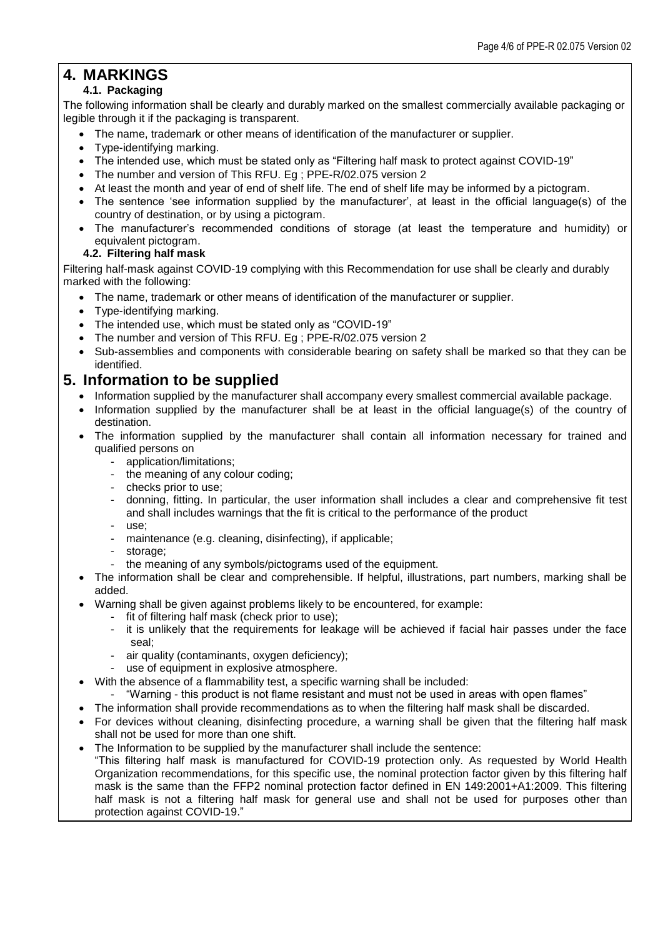# **4. MARKINGS**

# **4.1. Packaging**

The following information shall be clearly and durably marked on the smallest commercially available packaging or legible through it if the packaging is transparent.

- The name, trademark or other means of identification of the manufacturer or supplier.
- Type-identifying marking.
- The intended use, which must be stated only as "Filtering half mask to protect against COVID-19"
- The number and version of This RFU. Eg ; PPE-R/02.075 version 2
- At least the month and year of end of shelf life. The end of shelf life may be informed by a pictogram.
- The sentence 'see information supplied by the manufacturer', at least in the official language(s) of the country of destination, or by using a pictogram.
- The manufacturer's recommended conditions of storage (at least the temperature and humidity) or equivalent pictogram.

### **4.2. Filtering half mask**

Filtering half-mask against COVID-19 complying with this Recommendation for use shall be clearly and durably marked with the following:

- The name, trademark or other means of identification of the manufacturer or supplier.
- Type-identifying marking.
- The intended use, which must be stated only as "COVID-19"
- The number and version of This RFU. Eg ; PPE-R/02.075 version 2
- Sub-assemblies and components with considerable bearing on safety shall be marked so that they can be identified.

# **5. Information to be supplied**

- Information supplied by the manufacturer shall accompany every smallest commercial available package.
- Information supplied by the manufacturer shall be at least in the official language(s) of the country of destination.
- The information supplied by the manufacturer shall contain all information necessary for trained and qualified persons on
	- application/limitations;
	- the meaning of any colour coding;
	- checks prior to use;
	- donning, fitting. In particular, the user information shall includes a clear and comprehensive fit test and shall includes warnings that the fit is critical to the performance of the product
	- use;
	- maintenance (e.g. cleaning, disinfecting), if applicable;
	- storage:
	- the meaning of any symbols/pictograms used of the equipment.

 The information shall be clear and comprehensible. If helpful, illustrations, part numbers, marking shall be added.

- Warning shall be given against problems likely to be encountered, for example:
	- fit of filtering half mask (check prior to use);
	- it is unlikely that the requirements for leakage will be achieved if facial hair passes under the face seal;
	- air quality (contaminants, oxygen deficiency);
	- use of equipment in explosive atmosphere.
- With the absence of a flammability test, a specific warning shall be included:
- "Warning this product is not flame resistant and must not be used in areas with open flames"
- The information shall provide recommendations as to when the filtering half mask shall be discarded.
- For devices without cleaning, disinfecting procedure, a warning shall be given that the filtering half mask shall not be used for more than one shift.
- The Information to be supplied by the manufacturer shall include the sentence:
- "This filtering half mask is manufactured for COVID-19 protection only. As requested by World Health Organization recommendations, for this specific use, the nominal protection factor given by this filtering half mask is the same than the FFP2 nominal protection factor defined in EN 149:2001+A1:2009. This filtering half mask is not a filtering half mask for general use and shall not be used for purposes other than protection against COVID-19."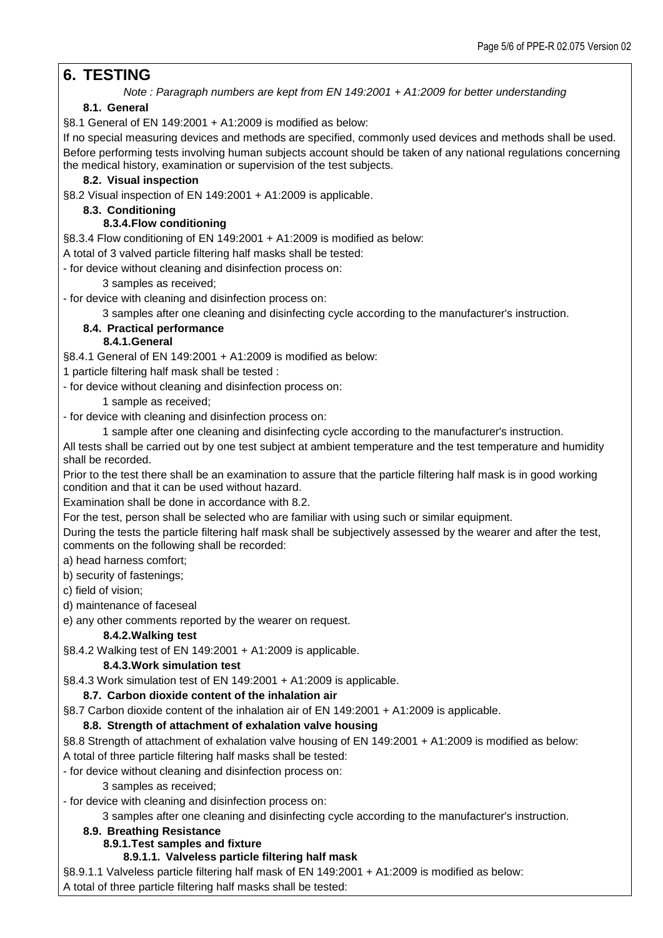# **6. TESTING**

*Note : Paragraph numbers are kept from EN 149:2001 + A1:2009 for better understanding*

# **8.1. General**

§8.1 General of EN 149:2001 + A1:2009 is modified as below:

If no special measuring devices and methods are specified, commonly used devices and methods shall be used. Before performing tests involving human subjects account should be taken of any national regulations concerning the medical history, examination or supervision of the test subjects.

## **8.2. Visual inspection**

§8.2 Visual inspection of EN 149:2001 + A1:2009 is applicable.

### **8.3. Conditioning**

# **8.3.4.Flow conditioning**

§8.3.4 Flow conditioning of EN 149:2001 + A1:2009 is modified as below:

A total of 3 valved particle filtering half masks shall be tested:

- for device without cleaning and disinfection process on:

3 samples as received;

- for device with cleaning and disinfection process on:

3 samples after one cleaning and disinfecting cycle according to the manufacturer's instruction.

# **8.4. Practical performance**

# **8.4.1.General**

§8.4.1 General of EN 149:2001 + A1:2009 is modified as below:

1 particle filtering half mask shall be tested :

- for device without cleaning and disinfection process on:

1 sample as received;

- for device with cleaning and disinfection process on:

1 sample after one cleaning and disinfecting cycle according to the manufacturer's instruction.

All tests shall be carried out by one test subject at ambient temperature and the test temperature and humidity shall be recorded.

Prior to the test there shall be an examination to assure that the particle filtering half mask is in good working condition and that it can be used without hazard.

Examination shall be done in accordance with 8.2.

For the test, person shall be selected who are familiar with using such or similar equipment.

During the tests the particle filtering half mask shall be subjectively assessed by the wearer and after the test, comments on the following shall be recorded:

a) head harness comfort;

b) security of fastenings;

c) field of vision;

d) maintenance of faceseal

e) any other comments reported by the wearer on request.

## **8.4.2.Walking test**

§8.4.2 Walking test of EN 149:2001 + A1:2009 is applicable.

## **8.4.3.Work simulation test**

§8.4.3 Work simulation test of EN 149:2001 + A1:2009 is applicable.

## **8.7. Carbon dioxide content of the inhalation air**

§8.7 Carbon dioxide content of the inhalation air of EN 149:2001 + A1:2009 is applicable.

## **8.8. Strength of attachment of exhalation valve housing**

§8.8 Strength of attachment of exhalation valve housing of EN 149:2001 + A1:2009 is modified as below: A total of three particle filtering half masks shall be tested:

- for device without cleaning and disinfection process on:

3 samples as received;

- for device with cleaning and disinfection process on:

3 samples after one cleaning and disinfecting cycle according to the manufacturer's instruction.

#### **8.9. Breathing Resistance**

## **8.9.1.Test samples and fixture**

#### **8.9.1.1. Valveless particle filtering half mask**

§8.9.1.1 Valveless particle filtering half mask of EN 149:2001 + A1:2009 is modified as below: A total of three particle filtering half masks shall be tested: